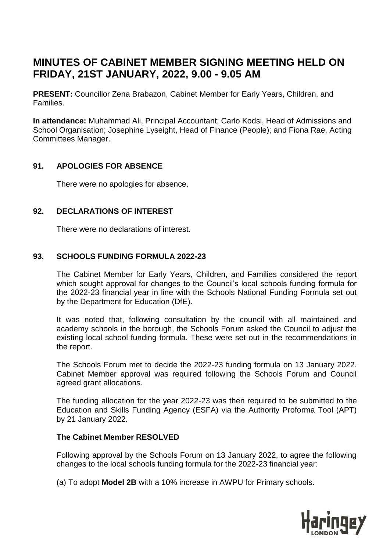# **MINUTES OF CABINET MEMBER SIGNING MEETING HELD ON FRIDAY, 21ST JANUARY, 2022, 9.00 - 9.05 AM**

**PRESENT:** Councillor Zena Brabazon, Cabinet Member for Early Years, Children, and Families.

**In attendance:** Muhammad Ali, Principal Accountant; Carlo Kodsi, Head of Admissions and School Organisation; Josephine Lyseight, Head of Finance (People); and Fiona Rae, Acting Committees Manager.

# **91. APOLOGIES FOR ABSENCE**

There were no apologies for absence.

# **92. DECLARATIONS OF INTEREST**

There were no declarations of interest.

# **93. SCHOOLS FUNDING FORMULA 2022-23**

The Cabinet Member for Early Years, Children, and Families considered the report which sought approval for changes to the Council's local schools funding formula for the 2022-23 financial year in line with the Schools National Funding Formula set out by the Department for Education (DfE).

It was noted that, following consultation by the council with all maintained and academy schools in the borough, the Schools Forum asked the Council to adjust the existing local school funding formula. These were set out in the recommendations in the report.

The Schools Forum met to decide the 2022-23 funding formula on 13 January 2022. Cabinet Member approval was required following the Schools Forum and Council agreed grant allocations.

The funding allocation for the year 2022-23 was then required to be submitted to the Education and Skills Funding Agency (ESFA) via the Authority Proforma Tool (APT) by 21 January 2022.

## **The Cabinet Member RESOLVED**

Following approval by the Schools Forum on 13 January 2022, to agree the following changes to the local schools funding formula for the 2022-23 financial year:

(a) To adopt **Model 2B** with a 10% increase in AWPU for Primary schools.

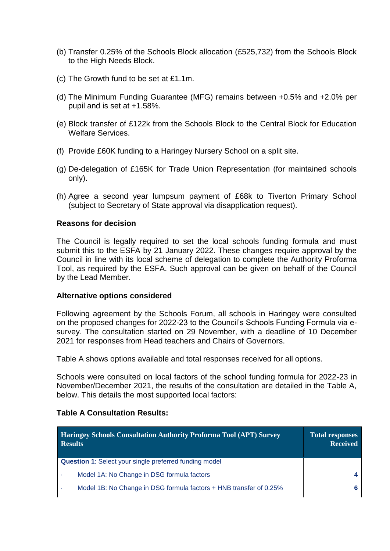- (b) Transfer 0.25% of the Schools Block allocation (£525,732) from the Schools Block to the High Needs Block.
- (c) The Growth fund to be set at £1.1m.
- (d) The Minimum Funding Guarantee (MFG) remains between +0.5% and +2.0% per pupil and is set at +1.58%.
- (e) Block transfer of £122k from the Schools Block to the Central Block for Education Welfare Services.
- (f) Provide £60K funding to a Haringey Nursery School on a split site.
- (g) De-delegation of £165K for Trade Union Representation (for maintained schools only).
- (h) Agree a second year lumpsum payment of £68k to Tiverton Primary School (subject to Secretary of State approval via disapplication request).

### **Reasons for decision**

The Council is legally required to set the local schools funding formula and must submit this to the ESFA by 21 January 2022. These changes require approval by the Council in line with its local scheme of delegation to complete the Authority Proforma Tool, as required by the ESFA. Such approval can be given on behalf of the Council by the Lead Member.

#### **Alternative options considered**

Following agreement by the Schools Forum, all schools in Haringey were consulted on the proposed changes for 2022-23 to the Council's Schools Funding Formula via esurvey. The consultation started on 29 November, with a deadline of 10 December 2021 for responses from Head teachers and Chairs of Governors.

Table A shows options available and total responses received for all options.

Schools were consulted on local factors of the school funding formula for 2022-23 in November/December 2021, the results of the consultation are detailed in the Table A, below. This details the most supported local factors:

#### **Table A Consultation Results:**

| <b>Haringey Schools Consultation Authority Proforma Tool (APT) Survey</b><br><b>Results</b> | <b>Total responses</b><br><b>Received</b> |
|---------------------------------------------------------------------------------------------|-------------------------------------------|
| <b>Question 1:</b> Select your single preferred funding model                               |                                           |
| Model 1A: No Change in DSG formula factors                                                  |                                           |
| Model 1B: No Change in DSG formula factors + HNB transfer of 0.25%                          |                                           |